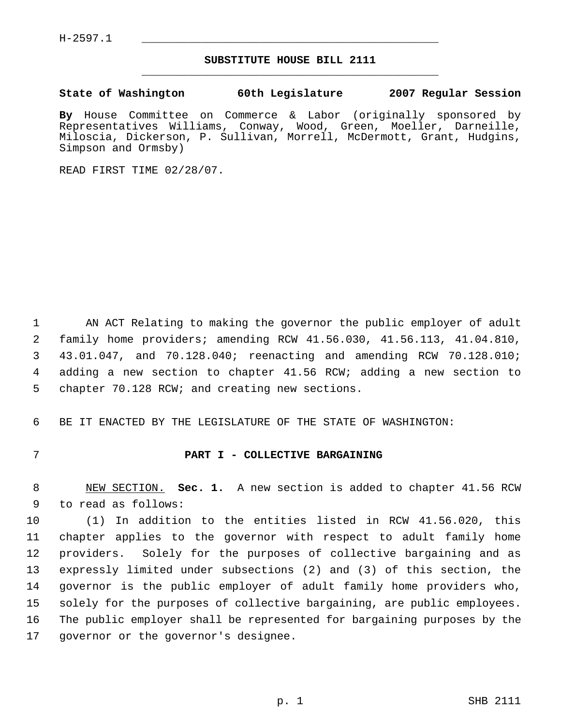H-2597.1 \_\_\_\_\_\_\_\_\_\_\_\_\_\_\_\_\_\_\_\_\_\_\_\_\_\_\_\_\_\_\_\_\_\_\_\_\_\_\_\_\_\_\_\_\_

## **SUBSTITUTE HOUSE BILL 2111** \_\_\_\_\_\_\_\_\_\_\_\_\_\_\_\_\_\_\_\_\_\_\_\_\_\_\_\_\_\_\_\_\_\_\_\_\_\_\_\_\_\_\_\_\_

**State of Washington 60th Legislature 2007 Regular Session**

**By** House Committee on Commerce & Labor (originally sponsored by Representatives Williams, Conway, Wood, Green, Moeller, Darneille, Miloscia, Dickerson, P. Sullivan, Morrell, McDermott, Grant, Hudgins, Simpson and Ormsby)

READ FIRST TIME 02/28/07.

 AN ACT Relating to making the governor the public employer of adult family home providers; amending RCW 41.56.030, 41.56.113, 41.04.810, 43.01.047, and 70.128.040; reenacting and amending RCW 70.128.010; adding a new section to chapter 41.56 RCW; adding a new section to chapter 70.128 RCW; and creating new sections.

BE IT ENACTED BY THE LEGISLATURE OF THE STATE OF WASHINGTON:

## **PART I - COLLECTIVE BARGAINING**

 NEW SECTION. **Sec. 1.** A new section is added to chapter 41.56 RCW to read as follows:

 (1) In addition to the entities listed in RCW 41.56.020, this chapter applies to the governor with respect to adult family home providers. Solely for the purposes of collective bargaining and as expressly limited under subsections (2) and (3) of this section, the governor is the public employer of adult family home providers who, solely for the purposes of collective bargaining, are public employees. The public employer shall be represented for bargaining purposes by the governor or the governor's designee.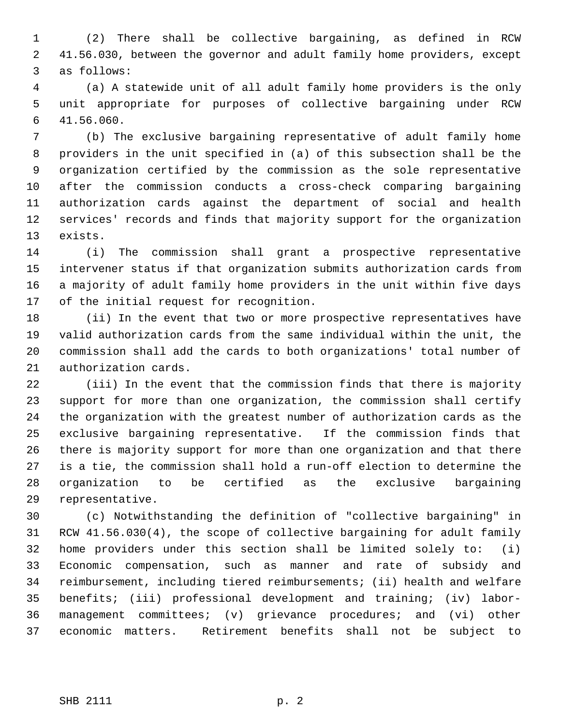(2) There shall be collective bargaining, as defined in RCW 41.56.030, between the governor and adult family home providers, except as follows:

 (a) A statewide unit of all adult family home providers is the only unit appropriate for purposes of collective bargaining under RCW 41.56.060.

 (b) The exclusive bargaining representative of adult family home providers in the unit specified in (a) of this subsection shall be the organization certified by the commission as the sole representative after the commission conducts a cross-check comparing bargaining authorization cards against the department of social and health services' records and finds that majority support for the organization exists.

 (i) The commission shall grant a prospective representative intervener status if that organization submits authorization cards from a majority of adult family home providers in the unit within five days of the initial request for recognition.

 (ii) In the event that two or more prospective representatives have valid authorization cards from the same individual within the unit, the commission shall add the cards to both organizations' total number of authorization cards.

 (iii) In the event that the commission finds that there is majority support for more than one organization, the commission shall certify the organization with the greatest number of authorization cards as the exclusive bargaining representative. If the commission finds that there is majority support for more than one organization and that there is a tie, the commission shall hold a run-off election to determine the organization to be certified as the exclusive bargaining representative.

 (c) Notwithstanding the definition of "collective bargaining" in RCW 41.56.030(4), the scope of collective bargaining for adult family home providers under this section shall be limited solely to: (i) Economic compensation, such as manner and rate of subsidy and reimbursement, including tiered reimbursements; (ii) health and welfare benefits; (iii) professional development and training; (iv) labor- management committees; (v) grievance procedures; and (vi) other economic matters. Retirement benefits shall not be subject to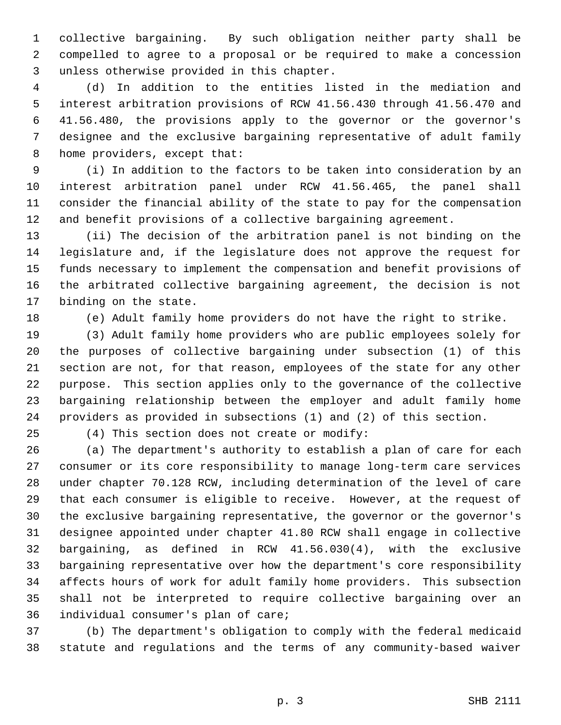collective bargaining. By such obligation neither party shall be compelled to agree to a proposal or be required to make a concession unless otherwise provided in this chapter.

 (d) In addition to the entities listed in the mediation and interest arbitration provisions of RCW 41.56.430 through 41.56.470 and 41.56.480, the provisions apply to the governor or the governor's designee and the exclusive bargaining representative of adult family 8 home providers, except that:

 (i) In addition to the factors to be taken into consideration by an interest arbitration panel under RCW 41.56.465, the panel shall consider the financial ability of the state to pay for the compensation and benefit provisions of a collective bargaining agreement.

 (ii) The decision of the arbitration panel is not binding on the legislature and, if the legislature does not approve the request for funds necessary to implement the compensation and benefit provisions of the arbitrated collective bargaining agreement, the decision is not binding on the state.

(e) Adult family home providers do not have the right to strike.

 (3) Adult family home providers who are public employees solely for the purposes of collective bargaining under subsection (1) of this section are not, for that reason, employees of the state for any other purpose. This section applies only to the governance of the collective bargaining relationship between the employer and adult family home providers as provided in subsections (1) and (2) of this section.

(4) This section does not create or modify:

 (a) The department's authority to establish a plan of care for each consumer or its core responsibility to manage long-term care services under chapter 70.128 RCW, including determination of the level of care that each consumer is eligible to receive. However, at the request of the exclusive bargaining representative, the governor or the governor's designee appointed under chapter 41.80 RCW shall engage in collective bargaining, as defined in RCW 41.56.030(4), with the exclusive bargaining representative over how the department's core responsibility affects hours of work for adult family home providers. This subsection shall not be interpreted to require collective bargaining over an individual consumer's plan of care;

 (b) The department's obligation to comply with the federal medicaid statute and regulations and the terms of any community-based waiver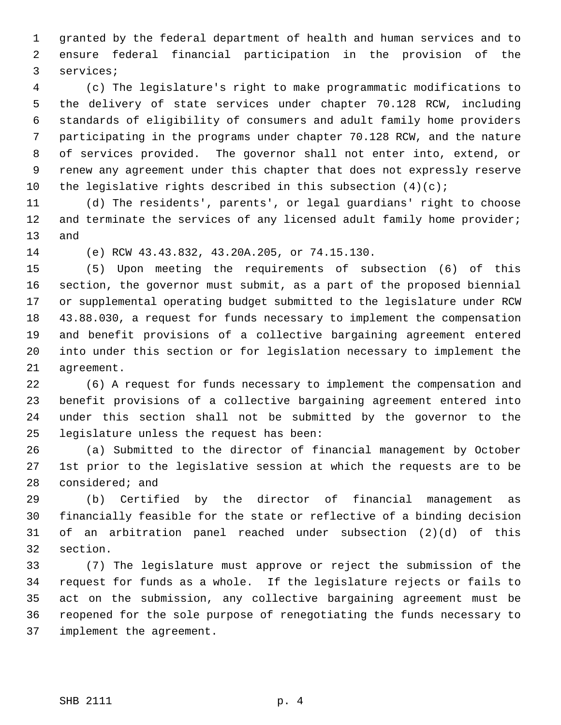granted by the federal department of health and human services and to ensure federal financial participation in the provision of the services;

 (c) The legislature's right to make programmatic modifications to the delivery of state services under chapter 70.128 RCW, including standards of eligibility of consumers and adult family home providers participating in the programs under chapter 70.128 RCW, and the nature of services provided. The governor shall not enter into, extend, or renew any agreement under this chapter that does not expressly reserve 10 the legislative rights described in this subsection  $(4)(c)$ ;

 (d) The residents', parents', or legal guardians' right to choose 12 and terminate the services of any licensed adult family home provider; and

(e) RCW 43.43.832, 43.20A.205, or 74.15.130.

 (5) Upon meeting the requirements of subsection (6) of this section, the governor must submit, as a part of the proposed biennial or supplemental operating budget submitted to the legislature under RCW 43.88.030, a request for funds necessary to implement the compensation and benefit provisions of a collective bargaining agreement entered into under this section or for legislation necessary to implement the agreement.

 (6) A request for funds necessary to implement the compensation and benefit provisions of a collective bargaining agreement entered into under this section shall not be submitted by the governor to the legislature unless the request has been:

 (a) Submitted to the director of financial management by October 1st prior to the legislative session at which the requests are to be considered; and

 (b) Certified by the director of financial management as financially feasible for the state or reflective of a binding decision of an arbitration panel reached under subsection (2)(d) of this section.

 (7) The legislature must approve or reject the submission of the request for funds as a whole. If the legislature rejects or fails to act on the submission, any collective bargaining agreement must be reopened for the sole purpose of renegotiating the funds necessary to implement the agreement.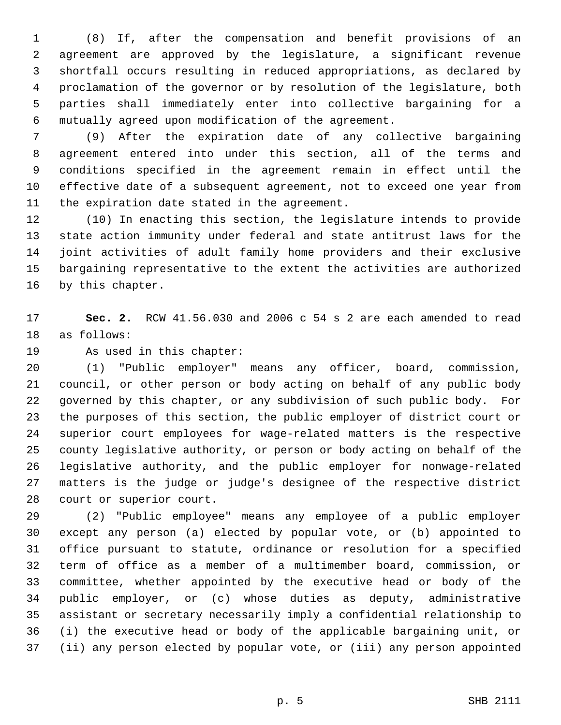(8) If, after the compensation and benefit provisions of an agreement are approved by the legislature, a significant revenue shortfall occurs resulting in reduced appropriations, as declared by proclamation of the governor or by resolution of the legislature, both parties shall immediately enter into collective bargaining for a mutually agreed upon modification of the agreement.

 (9) After the expiration date of any collective bargaining agreement entered into under this section, all of the terms and conditions specified in the agreement remain in effect until the effective date of a subsequent agreement, not to exceed one year from the expiration date stated in the agreement.

 (10) In enacting this section, the legislature intends to provide state action immunity under federal and state antitrust laws for the joint activities of adult family home providers and their exclusive bargaining representative to the extent the activities are authorized by this chapter.

 **Sec. 2.** RCW 41.56.030 and 2006 c 54 s 2 are each amended to read as follows:

As used in this chapter:

 (1) "Public employer" means any officer, board, commission, council, or other person or body acting on behalf of any public body governed by this chapter, or any subdivision of such public body. For the purposes of this section, the public employer of district court or superior court employees for wage-related matters is the respective county legislative authority, or person or body acting on behalf of the legislative authority, and the public employer for nonwage-related

 matters is the judge or judge's designee of the respective district court or superior court.

 (2) "Public employee" means any employee of a public employer except any person (a) elected by popular vote, or (b) appointed to office pursuant to statute, ordinance or resolution for a specified term of office as a member of a multimember board, commission, or committee, whether appointed by the executive head or body of the public employer, or (c) whose duties as deputy, administrative assistant or secretary necessarily imply a confidential relationship to (i) the executive head or body of the applicable bargaining unit, or (ii) any person elected by popular vote, or (iii) any person appointed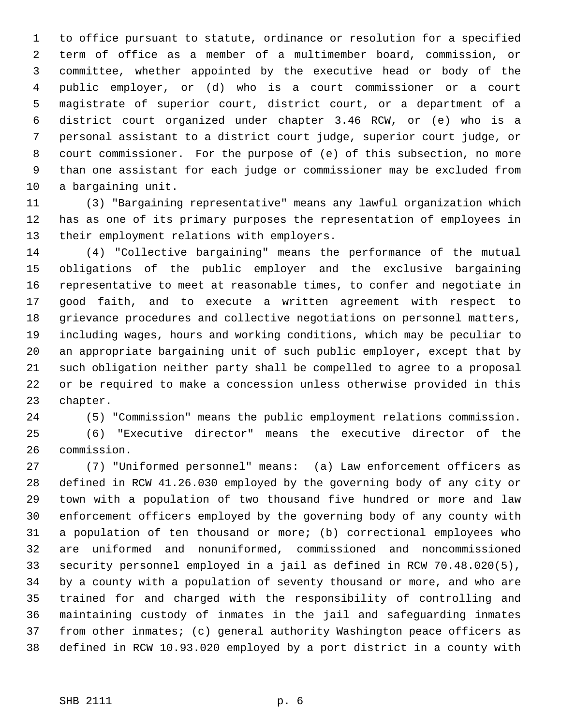to office pursuant to statute, ordinance or resolution for a specified term of office as a member of a multimember board, commission, or committee, whether appointed by the executive head or body of the public employer, or (d) who is a court commissioner or a court magistrate of superior court, district court, or a department of a district court organized under chapter 3.46 RCW, or (e) who is a personal assistant to a district court judge, superior court judge, or court commissioner. For the purpose of (e) of this subsection, no more than one assistant for each judge or commissioner may be excluded from a bargaining unit.

 (3) "Bargaining representative" means any lawful organization which has as one of its primary purposes the representation of employees in their employment relations with employers.

 (4) "Collective bargaining" means the performance of the mutual obligations of the public employer and the exclusive bargaining representative to meet at reasonable times, to confer and negotiate in good faith, and to execute a written agreement with respect to grievance procedures and collective negotiations on personnel matters, including wages, hours and working conditions, which may be peculiar to an appropriate bargaining unit of such public employer, except that by such obligation neither party shall be compelled to agree to a proposal or be required to make a concession unless otherwise provided in this chapter.

(5) "Commission" means the public employment relations commission.

 (6) "Executive director" means the executive director of the commission.

 (7) "Uniformed personnel" means: (a) Law enforcement officers as defined in RCW 41.26.030 employed by the governing body of any city or town with a population of two thousand five hundred or more and law enforcement officers employed by the governing body of any county with a population of ten thousand or more; (b) correctional employees who are uniformed and nonuniformed, commissioned and noncommissioned security personnel employed in a jail as defined in RCW 70.48.020(5), by a county with a population of seventy thousand or more, and who are trained for and charged with the responsibility of controlling and maintaining custody of inmates in the jail and safeguarding inmates from other inmates; (c) general authority Washington peace officers as defined in RCW 10.93.020 employed by a port district in a county with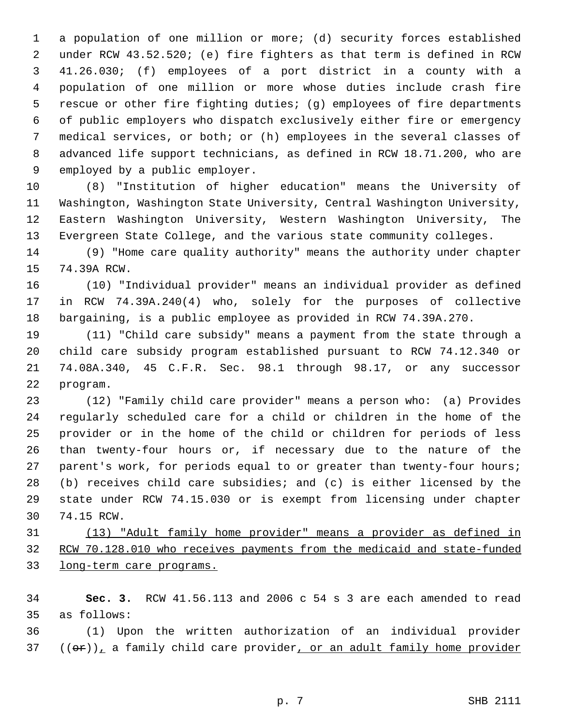a population of one million or more; (d) security forces established under RCW 43.52.520; (e) fire fighters as that term is defined in RCW 41.26.030; (f) employees of a port district in a county with a population of one million or more whose duties include crash fire rescue or other fire fighting duties; (g) employees of fire departments of public employers who dispatch exclusively either fire or emergency medical services, or both; or (h) employees in the several classes of advanced life support technicians, as defined in RCW 18.71.200, who are employed by a public employer.

 (8) "Institution of higher education" means the University of Washington, Washington State University, Central Washington University, Eastern Washington University, Western Washington University, The Evergreen State College, and the various state community colleges.

 (9) "Home care quality authority" means the authority under chapter 74.39A RCW.

 (10) "Individual provider" means an individual provider as defined in RCW 74.39A.240(4) who, solely for the purposes of collective bargaining, is a public employee as provided in RCW 74.39A.270.

 (11) "Child care subsidy" means a payment from the state through a child care subsidy program established pursuant to RCW 74.12.340 or 74.08A.340, 45 C.F.R. Sec. 98.1 through 98.17, or any successor program.

 (12) "Family child care provider" means a person who: (a) Provides regularly scheduled care for a child or children in the home of the provider or in the home of the child or children for periods of less than twenty-four hours or, if necessary due to the nature of the parent's work, for periods equal to or greater than twenty-four hours; (b) receives child care subsidies; and (c) is either licensed by the state under RCW 74.15.030 or is exempt from licensing under chapter 74.15 RCW.

 (13) "Adult family home provider" means a provider as defined in 32 RCW 70.128.010 who receives payments from the medicaid and state-funded long-term care programs.

 **Sec. 3.** RCW 41.56.113 and 2006 c 54 s 3 are each amended to read as follows:

 (1) Upon the written authorization of an individual provider (( $\Theta$ r)), a family child care provider, or an adult family home provider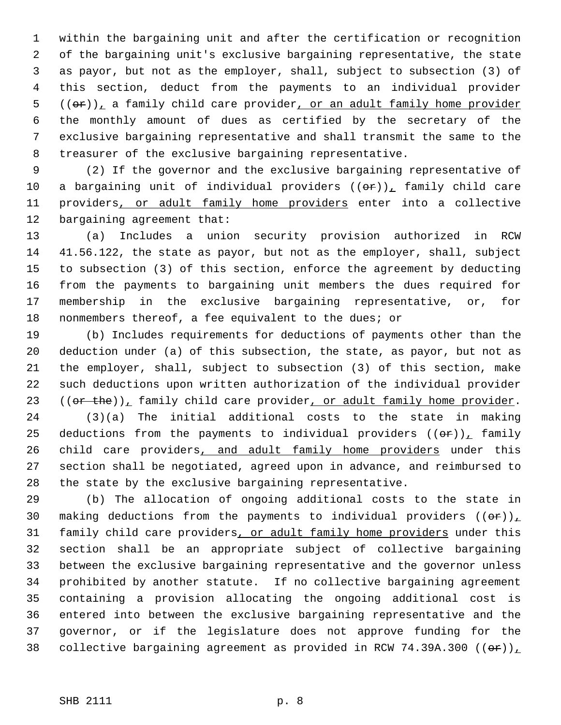within the bargaining unit and after the certification or recognition of the bargaining unit's exclusive bargaining representative, the state as payor, but not as the employer, shall, subject to subsection (3) of this section, deduct from the payments to an individual provider (( $\Theta$ r)), a family child care provider, or an adult family home provider the monthly amount of dues as certified by the secretary of the exclusive bargaining representative and shall transmit the same to the treasurer of the exclusive bargaining representative.

 (2) If the governor and the exclusive bargaining representative of 10 a bargaining unit of individual providers  $((\theta \hat{r}))_T$  family child care 11 providers, or adult family home providers enter into a collective bargaining agreement that:

 (a) Includes a union security provision authorized in RCW 41.56.122, the state as payor, but not as the employer, shall, subject to subsection (3) of this section, enforce the agreement by deducting from the payments to bargaining unit members the dues required for membership in the exclusive bargaining representative, or, for 18 nonmembers thereof, a fee equivalent to the dues; or

 (b) Includes requirements for deductions of payments other than the deduction under (a) of this subsection, the state, as payor, but not as the employer, shall, subject to subsection (3) of this section, make such deductions upon written authorization of the individual provider 23 (( $or$  the)), family child care provider, or adult family home provider.

 (3)(a) The initial additional costs to the state in making 25 deductions from the payments to individual providers  $((\theta \hat{r}))$ , family 26 child care providers, and adult family home providers under this section shall be negotiated, agreed upon in advance, and reimbursed to the state by the exclusive bargaining representative.

 (b) The allocation of ongoing additional costs to the state in 30 making deductions from the payments to individual providers  $((\theta \cdot \mathbf{r}))$ 31 family child care providers, or adult family home providers under this section shall be an appropriate subject of collective bargaining between the exclusive bargaining representative and the governor unless prohibited by another statute. If no collective bargaining agreement containing a provision allocating the ongoing additional cost is entered into between the exclusive bargaining representative and the governor, or if the legislature does not approve funding for the 38 collective bargaining agreement as provided in RCW 74.39A.300 (( $\Theta$ r))<sub> $\perp$ </sub>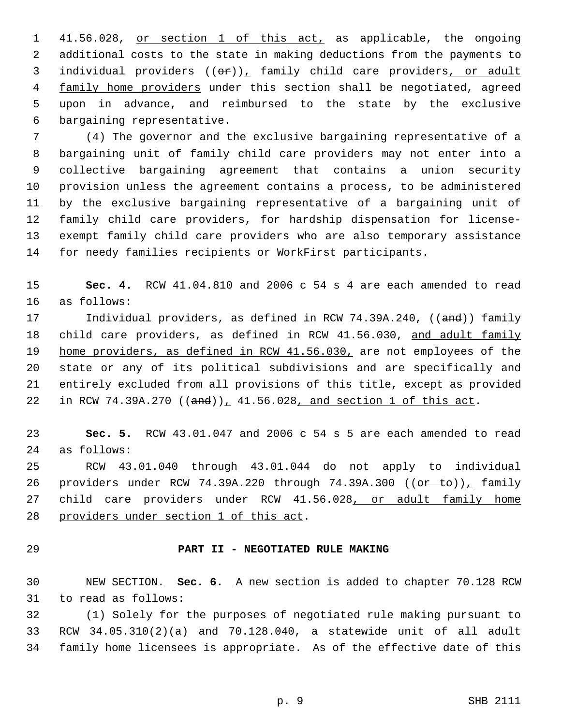41.56.028, or section 1 of this act, as applicable, the ongoing additional costs to the state in making deductions from the payments to 3 individual providers  $((e^p)_L)$  family child care providers, or adult 4 family home providers under this section shall be negotiated, agreed upon in advance, and reimbursed to the state by the exclusive bargaining representative.

 (4) The governor and the exclusive bargaining representative of a bargaining unit of family child care providers may not enter into a collective bargaining agreement that contains a union security provision unless the agreement contains a process, to be administered by the exclusive bargaining representative of a bargaining unit of family child care providers, for hardship dispensation for license- exempt family child care providers who are also temporary assistance for needy families recipients or WorkFirst participants.

 **Sec. 4.** RCW 41.04.810 and 2006 c 54 s 4 are each amended to read as follows:

17 Individual providers, as defined in RCW 74.39A.240, ((and)) family 18 child care providers, as defined in RCW 41.56.030, and adult family 19 home providers, as defined in RCW 41.56.030, are not employees of the state or any of its political subdivisions and are specifically and entirely excluded from all provisions of this title, except as provided 22 in RCW 74.39A.270  $((and))_1$  41.56.028, and section 1 of this act.

 **Sec. 5.** RCW 43.01.047 and 2006 c 54 s 5 are each amended to read as follows:

 RCW 43.01.040 through 43.01.044 do not apply to individual 26 providers under RCW 74.39A.220 through 74.39A.300 ((or to)), family 27 child care providers under RCW 41.56.028, or adult family home providers under section 1 of this act.

## **PART II - NEGOTIATED RULE MAKING**

 NEW SECTION. **Sec. 6.** A new section is added to chapter 70.128 RCW to read as follows:

 (1) Solely for the purposes of negotiated rule making pursuant to RCW 34.05.310(2)(a) and 70.128.040, a statewide unit of all adult family home licensees is appropriate. As of the effective date of this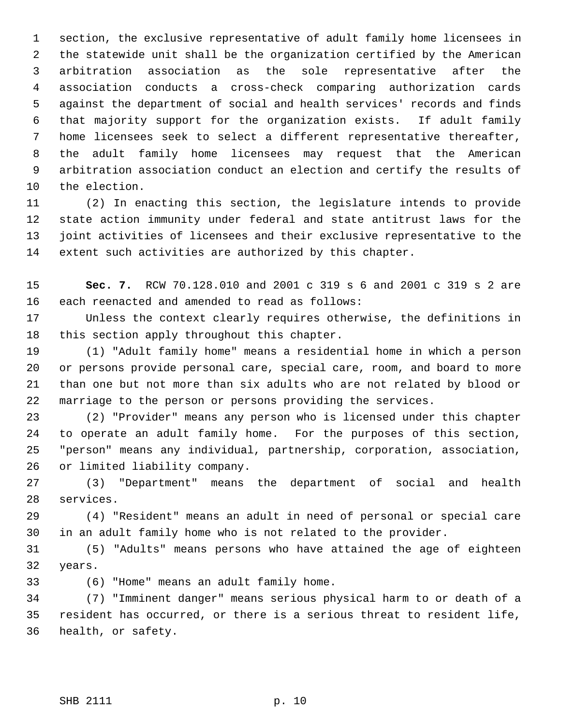section, the exclusive representative of adult family home licensees in the statewide unit shall be the organization certified by the American arbitration association as the sole representative after the association conducts a cross-check comparing authorization cards against the department of social and health services' records and finds that majority support for the organization exists. If adult family home licensees seek to select a different representative thereafter, the adult family home licensees may request that the American arbitration association conduct an election and certify the results of the election.

 (2) In enacting this section, the legislature intends to provide state action immunity under federal and state antitrust laws for the joint activities of licensees and their exclusive representative to the extent such activities are authorized by this chapter.

 **Sec. 7.** RCW 70.128.010 and 2001 c 319 s 6 and 2001 c 319 s 2 are each reenacted and amended to read as follows:

 Unless the context clearly requires otherwise, the definitions in this section apply throughout this chapter.

 (1) "Adult family home" means a residential home in which a person or persons provide personal care, special care, room, and board to more than one but not more than six adults who are not related by blood or marriage to the person or persons providing the services.

 (2) "Provider" means any person who is licensed under this chapter to operate an adult family home. For the purposes of this section, "person" means any individual, partnership, corporation, association, or limited liability company.

 (3) "Department" means the department of social and health services.

 (4) "Resident" means an adult in need of personal or special care in an adult family home who is not related to the provider.

 (5) "Adults" means persons who have attained the age of eighteen years.

(6) "Home" means an adult family home.

 (7) "Imminent danger" means serious physical harm to or death of a resident has occurred, or there is a serious threat to resident life, health, or safety.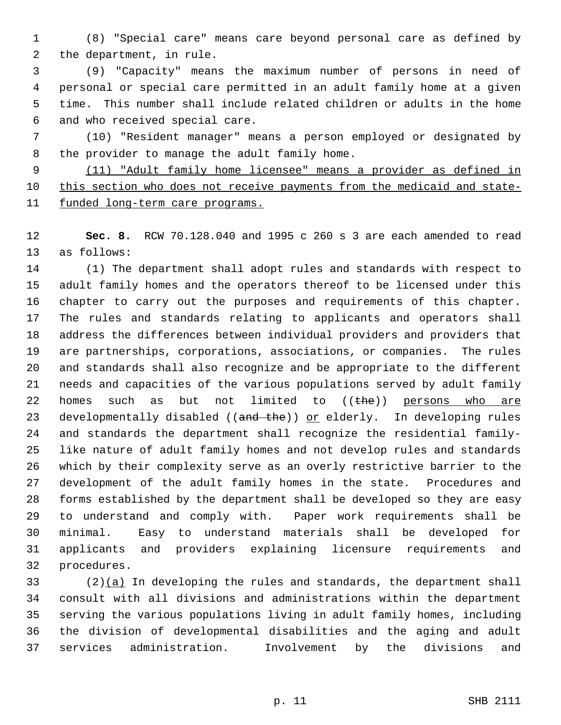(8) "Special care" means care beyond personal care as defined by the department, in rule.

 (9) "Capacity" means the maximum number of persons in need of personal or special care permitted in an adult family home at a given time. This number shall include related children or adults in the home and who received special care.

 (10) "Resident manager" means a person employed or designated by the provider to manage the adult family home.

 (11) "Adult family home licensee" means a provider as defined in 10 this section who does not receive payments from the medicaid and state-11 funded long-term care programs.

 **Sec. 8.** RCW 70.128.040 and 1995 c 260 s 3 are each amended to read as follows:

 (1) The department shall adopt rules and standards with respect to adult family homes and the operators thereof to be licensed under this chapter to carry out the purposes and requirements of this chapter. The rules and standards relating to applicants and operators shall address the differences between individual providers and providers that are partnerships, corporations, associations, or companies. The rules and standards shall also recognize and be appropriate to the different needs and capacities of the various populations served by adult family 22 homes such as but not limited to  $((the + e))$  persons who are 23 developmentally disabled ((and the)) or elderly. In developing rules and standards the department shall recognize the residential family- like nature of adult family homes and not develop rules and standards which by their complexity serve as an overly restrictive barrier to the development of the adult family homes in the state. Procedures and forms established by the department shall be developed so they are easy to understand and comply with. Paper work requirements shall be minimal. Easy to understand materials shall be developed for applicants and providers explaining licensure requirements and procedures.

33 (2) $(a)$  In developing the rules and standards, the department shall consult with all divisions and administrations within the department serving the various populations living in adult family homes, including the division of developmental disabilities and the aging and adult services administration. Involvement by the divisions and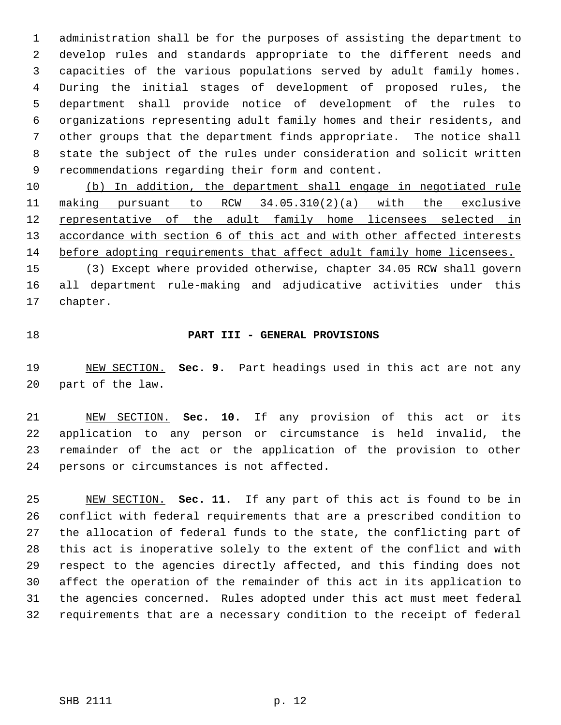administration shall be for the purposes of assisting the department to develop rules and standards appropriate to the different needs and capacities of the various populations served by adult family homes. During the initial stages of development of proposed rules, the department shall provide notice of development of the rules to organizations representing adult family homes and their residents, and other groups that the department finds appropriate. The notice shall state the subject of the rules under consideration and solicit written recommendations regarding their form and content.

 (b) In addition, the department shall engage in negotiated rule making pursuant to RCW 34.05.310(2)(a) with the exclusive representative of the adult family home licensees selected in 13 accordance with section 6 of this act and with other affected interests before adopting requirements that affect adult family home licensees.

 (3) Except where provided otherwise, chapter 34.05 RCW shall govern all department rule-making and adjudicative activities under this chapter.

## **PART III - GENERAL PROVISIONS**

 NEW SECTION. **Sec. 9.** Part headings used in this act are not any part of the law.

 NEW SECTION. **Sec. 10.** If any provision of this act or its application to any person or circumstance is held invalid, the remainder of the act or the application of the provision to other persons or circumstances is not affected.

 NEW SECTION. **Sec. 11.** If any part of this act is found to be in conflict with federal requirements that are a prescribed condition to the allocation of federal funds to the state, the conflicting part of this act is inoperative solely to the extent of the conflict and with respect to the agencies directly affected, and this finding does not affect the operation of the remainder of this act in its application to the agencies concerned. Rules adopted under this act must meet federal requirements that are a necessary condition to the receipt of federal